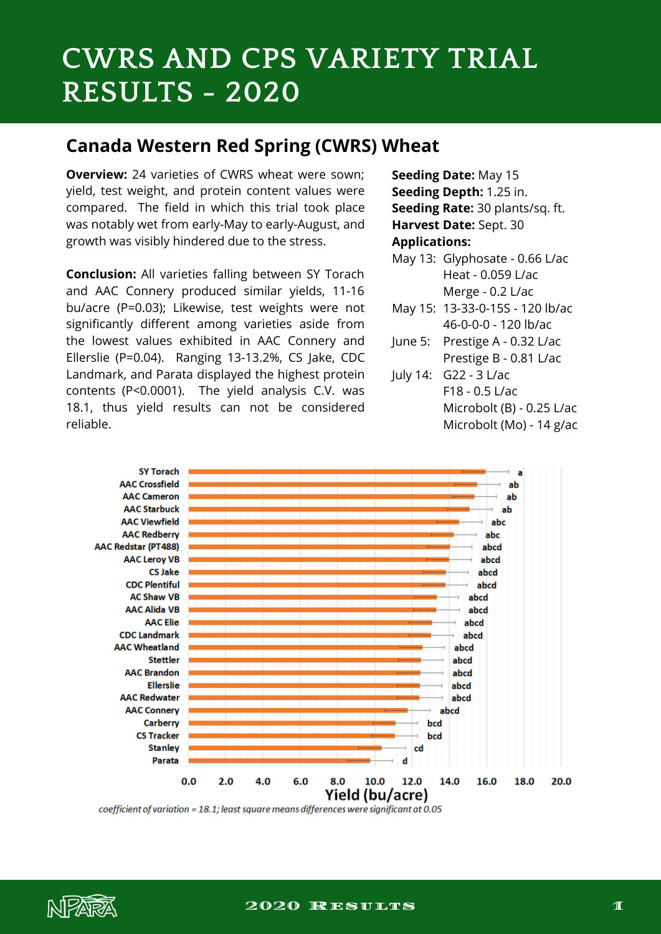# **CWRS AND CPS VARIETY TRIAL RESULTS - 2020**

#### **Canada Western Red Spring (CWRS) Wheat**

**Overview:** 24 varieties of CWRS wheat were sown: yield, test weight, and protein content values were compared. The field in which this trial took place was notably wet from early-May to early-August, and growth was visibly hindered due to the stress.

**Conclusion:** All varieties falling between SY Torach and AAC Connery produced similar yields, 11-16 bu/acre (P=0.03); Likewise, test weights were not significantly different among varieties aside from the lowest values exhibited in AAC Connery and Ellerslie (P=0.04). Ranging 13-13.2%, CS Jake, CDC Landmark, and Parata displayed the highest protein contents (P<0.0001). The yield analysis C.V. was 18.1, thus yield results can not be considered reliable.

**Seeding Date:** May 15 **Seeding Depth:** 1.25 in. **Seeding Rate:** 30 plants/sq. ft. **Harvest Date:** Sept. 30 **Applications:**

- May 13: Glyphosate 0.66 L/ac Heat - 0.059 L/ac Merge - 0.2 L/ac
- May 15: 13-33-0-15S 120 lb/ac 46-0-0-0 - 120 lb/ac
- June 5: Prestige A 0.32 L/ac Prestige B - 0.81 L/ac
	- July 14: G22 3 L/ac F18 - 0.5 L/ac Microbolt (B) - 0.25 L/ac Microbolt (Mo) - 14 g/ac



coefficient of variation = 18.1; least square means differences were significant at 0.05

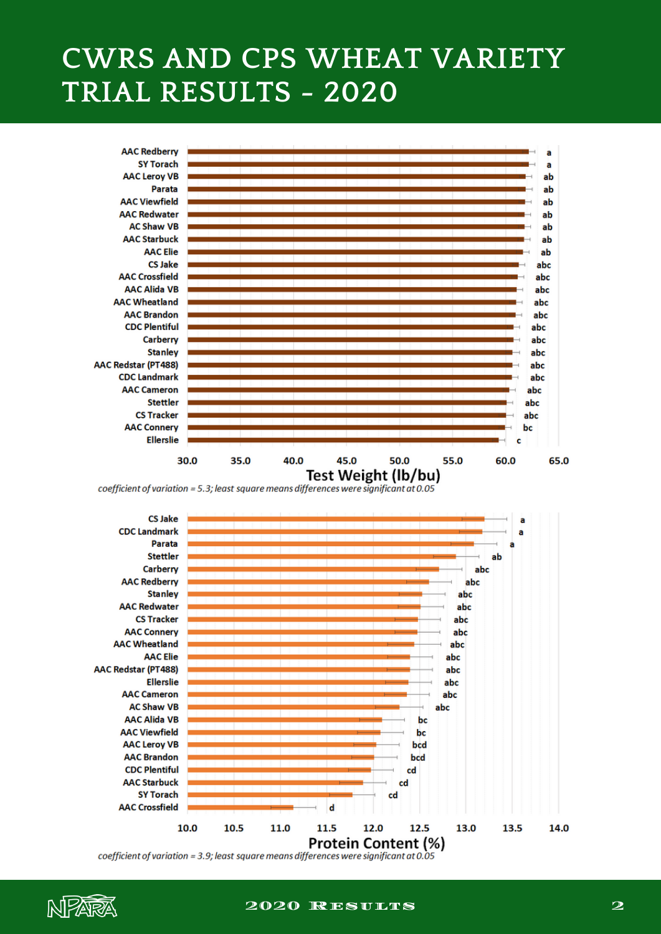## **CWRS AND CPS WHEAT VARIETY TRIAL RESULTS - 2020**



coefficient of variation = 5.3; least square means differences were significant at 0.05



coefficient of variation = 3.9; least square means differences were significant at 0.05